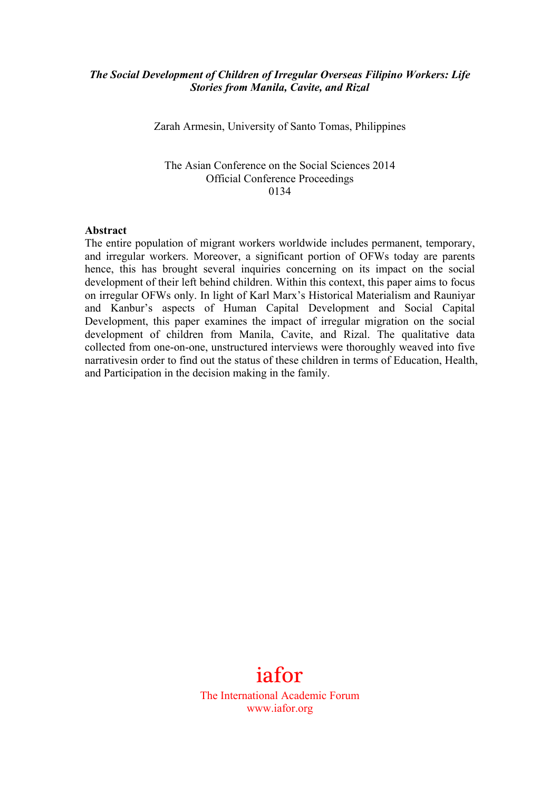#### *The Social Development of Children of Irregular Overseas Filipino Workers: Life Stories from Manila, Cavite, and Rizal*

Zarah Armesin, University of Santo Tomas, Philippines

#### The Asian Conference on the Social Sciences 2014 Official Conference Proceedings 0134

#### **Abstract**

The entire population of migrant workers worldwide includes permanent, temporary, and irregular workers. Moreover, a significant portion of OFWs today are parents hence, this has brought several inquiries concerning on its impact on the social development of their left behind children. Within this context, this paper aims to focus on irregular OFWs only. In light of Karl Marx's Historical Materialism and Rauniyar and Kanbur's aspects of Human Capital Development and Social Capital Development, this paper examines the impact of irregular migration on the social development of children from Manila, Cavite, and Rizal. The qualitative data collected from one-on-one, unstructured interviews were thoroughly weaved into five narrativesin order to find out the status of these children in terms of Education, Health, and Participation in the decision making in the family.

# iafor

The International Academic Forum www.iafor.org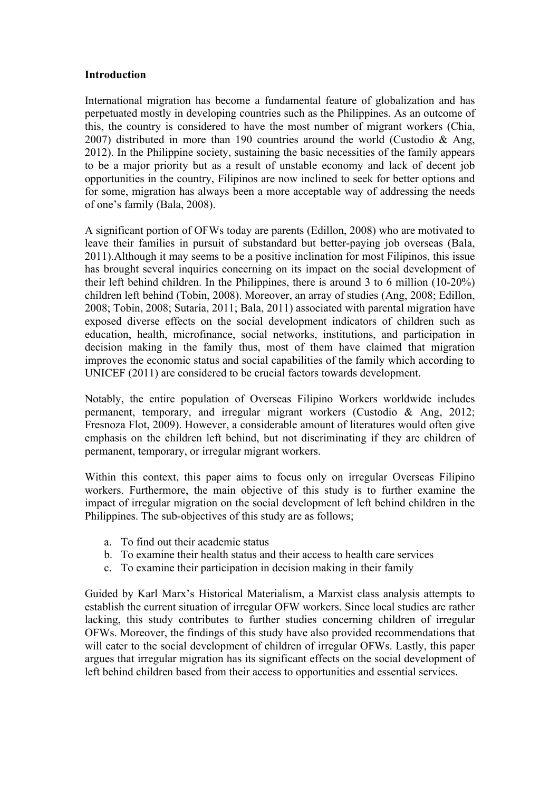#### **Introduction**

International migration has become a fundamental feature of globalization and has perpetuated mostly in developing countries such as the Philippines. As an outcome of this, the country is considered to have the most number of migrant workers (Chia, 2007) distributed in more than 190 countries around the world (Custodio & Ang, 2012). In the Philippine society, sustaining the basic necessities of the family appears to be a major priority but as a result of unstable economy and lack of decent job opportunities in the country, Filipinos are now inclined to seek for better options and for some, migration has always been a more acceptable way of addressing the needs of one's family (Bala, 2008).

A significant portion of OFWs today are parents (Edillon, 2008) who are motivated to leave their families in pursuit of substandard but better-paying job overseas (Bala, 2011).Although it may seems to be a positive inclination for most Filipinos, this issue has brought several inquiries concerning on its impact on the social development of their left behind children. In the Philippines, there is around 3 to 6 million (10-20%) children left behind (Tobin, 2008). Moreover, an array of studies (Ang, 2008; Edillon, 2008; Tobin, 2008; Sutaria, 2011; Bala, 2011) associated with parental migration have exposed diverse effects on the social development indicators of children such as education, health, microfinance, social networks, institutions, and participation in decision making in the family thus, most of them have claimed that migration improves the economic status and social capabilities of the family which according to UNICEF (2011) are considered to be crucial factors towards development.

Notably, the entire population of Overseas Filipino Workers worldwide includes permanent, temporary, and irregular migrant workers (Custodio & Ang, 2012; Fresnoza Flot, 2009). However, a considerable amount of literatures would often give emphasis on the children left behind, but not discriminating if they are children of permanent, temporary, or irregular migrant workers.

Within this context, this paper aims to focus only on irregular Overseas Filipino workers. Furthermore, the main objective of this study is to further examine the impact of irregular migration on the social development of left behind children in the Philippines. The sub-objectives of this study are as follows;

- a. To find out their academic status
- b. To examine their health status and their access to health care services
- c. To examine their participation in decision making in their family

Guided by Karl Marx's Historical Materialism, a Marxist class analysis attempts to establish the current situation of irregular OFW workers. Since local studies are rather lacking, this study contributes to further studies concerning children of irregular OFWs. Moreover, the findings of this study have also provided recommendations that will cater to the social development of children of irregular OFWs. Lastly, this paper argues that irregular migration has its significant effects on the social development of left behind children based from their access to opportunities and essential services.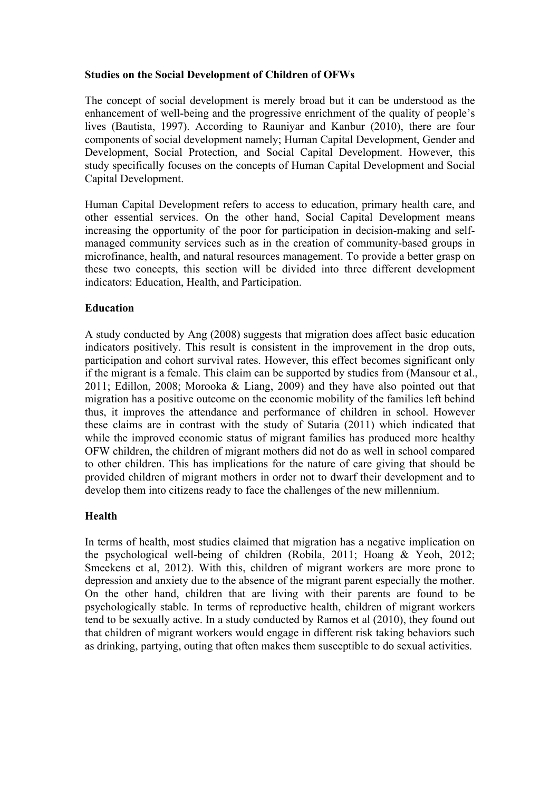# **Studies on the Social Development of Children of OFWs**

The concept of social development is merely broad but it can be understood as the enhancement of well-being and the progressive enrichment of the quality of people's lives (Bautista, 1997). According to Rauniyar and Kanbur (2010), there are four components of social development namely; Human Capital Development, Gender and Development, Social Protection, and Social Capital Development. However, this study specifically focuses on the concepts of Human Capital Development and Social Capital Development.

Human Capital Development refers to access to education, primary health care, and other essential services. On the other hand, Social Capital Development means increasing the opportunity of the poor for participation in decision-making and selfmanaged community services such as in the creation of community-based groups in microfinance, health, and natural resources management. To provide a better grasp on these two concepts, this section will be divided into three different development indicators: Education, Health, and Participation.

# **Education**

A study conducted by Ang (2008) suggests that migration does affect basic education indicators positively. This result is consistent in the improvement in the drop outs, participation and cohort survival rates. However, this effect becomes significant only if the migrant is a female. This claim can be supported by studies from (Mansour et al., 2011; Edillon, 2008; Morooka & Liang, 2009) and they have also pointed out that migration has a positive outcome on the economic mobility of the families left behind thus, it improves the attendance and performance of children in school. However these claims are in contrast with the study of Sutaria (2011) which indicated that while the improved economic status of migrant families has produced more healthy OFW children, the children of migrant mothers did not do as well in school compared to other children. This has implications for the nature of care giving that should be provided children of migrant mothers in order not to dwarf their development and to develop them into citizens ready to face the challenges of the new millennium.

# **Health**

In terms of health, most studies claimed that migration has a negative implication on the psychological well-being of children (Robila, 2011; Hoang & Yeoh, 2012; Smeekens et al, 2012). With this, children of migrant workers are more prone to depression and anxiety due to the absence of the migrant parent especially the mother. On the other hand, children that are living with their parents are found to be psychologically stable. In terms of reproductive health, children of migrant workers tend to be sexually active. In a study conducted by Ramos et al (2010), they found out that children of migrant workers would engage in different risk taking behaviors such as drinking, partying, outing that often makes them susceptible to do sexual activities.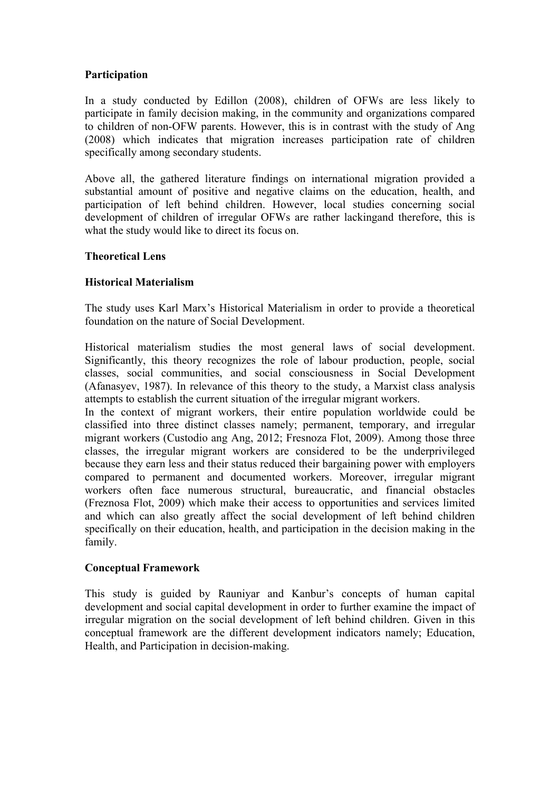# **Participation**

In a study conducted by Edillon (2008), children of OFWs are less likely to participate in family decision making, in the community and organizations compared to children of non-OFW parents. However, this is in contrast with the study of Ang (2008) which indicates that migration increases participation rate of children specifically among secondary students.

Above all, the gathered literature findings on international migration provided a substantial amount of positive and negative claims on the education, health, and participation of left behind children. However, local studies concerning social development of children of irregular OFWs are rather lackingand therefore, this is what the study would like to direct its focus on.

# **Theoretical Lens**

# **Historical Materialism**

The study uses Karl Marx's Historical Materialism in order to provide a theoretical foundation on the nature of Social Development.

Historical materialism studies the most general laws of social development. Significantly, this theory recognizes the role of labour production, people, social classes, social communities, and social consciousness in Social Development (Afanasyev, 1987). In relevance of this theory to the study, a Marxist class analysis attempts to establish the current situation of the irregular migrant workers.

In the context of migrant workers, their entire population worldwide could be classified into three distinct classes namely; permanent, temporary, and irregular migrant workers (Custodio ang Ang, 2012; Fresnoza Flot, 2009). Among those three classes, the irregular migrant workers are considered to be the underprivileged because they earn less and their status reduced their bargaining power with employers compared to permanent and documented workers. Moreover, irregular migrant workers often face numerous structural, bureaucratic, and financial obstacles (Freznosa Flot, 2009) which make their access to opportunities and services limited and which can also greatly affect the social development of left behind children specifically on their education, health, and participation in the decision making in the family.

#### **Conceptual Framework**

This study is guided by Rauniyar and Kanbur's concepts of human capital development and social capital development in order to further examine the impact of irregular migration on the social development of left behind children. Given in this conceptual framework are the different development indicators namely; Education, Health, and Participation in decision-making.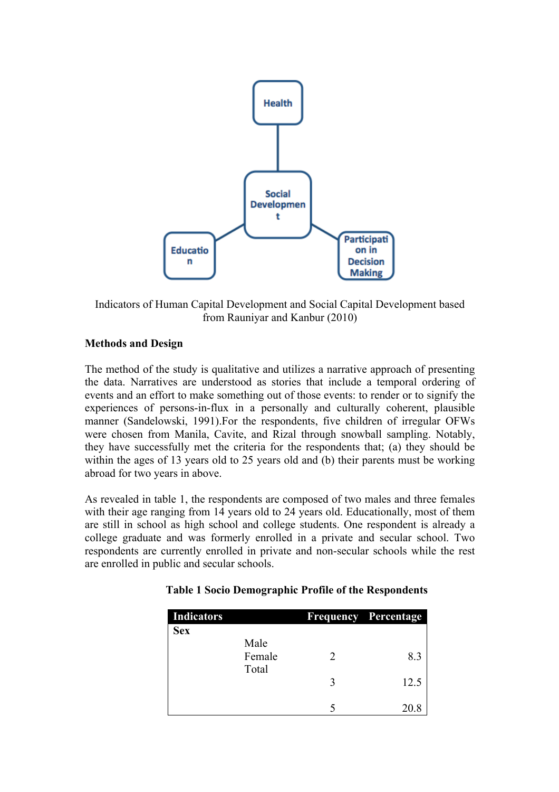

Indicators of Human Capital Development and Social Capital Development based from Rauniyar and Kanbur (2010)

# **Methods and Design**

The method of the study is qualitative and utilizes a narrative approach of presenting the data. Narratives are understood as stories that include a temporal ordering of events and an effort to make something out of those events: to render or to signify the experiences of persons-in-flux in a personally and culturally coherent, plausible manner (Sandelowski, 1991).For the respondents, five children of irregular OFWs were chosen from Manila, Cavite, and Rizal through snowball sampling. Notably, they have successfully met the criteria for the respondents that; (a) they should be within the ages of 13 years old to 25 years old and (b) their parents must be working abroad for two years in above.

As revealed in table 1, the respondents are composed of two males and three females with their age ranging from 14 years old to 24 years old. Educationally, most of them are still in school as high school and college students. One respondent is already a college graduate and was formerly enrolled in a private and secular school. Two respondents are currently enrolled in private and non-secular schools while the rest are enrolled in public and secular schools.

| <b>Indicators</b> |        |   | <b>Frequency Percentage</b> |
|-------------------|--------|---|-----------------------------|
| <b>Sex</b>        | Male   |   |                             |
|                   | Female | 2 | 8.3                         |
|                   | Total  |   |                             |
|                   |        | 3 | 12.5                        |
|                   |        |   | 20.8                        |

#### **Table 1 Socio Demographic Profile of the Respondents**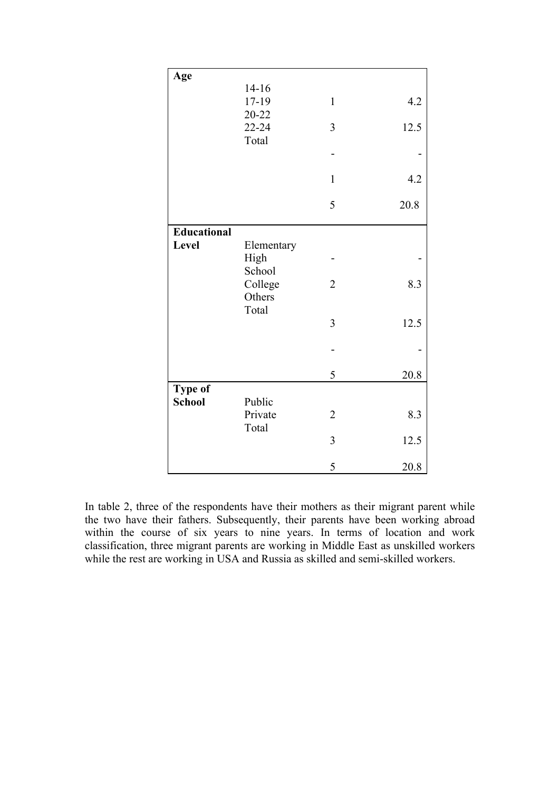| Age                |                                 |                |      |
|--------------------|---------------------------------|----------------|------|
|                    | $14 - 16$<br>17-19<br>$20 - 22$ | $\mathbf{1}$   | 4.2  |
|                    | 22-24                           | 3              | 12.5 |
|                    | Total                           |                |      |
|                    |                                 | $\mathbf{1}$   | 4.2  |
|                    |                                 | 5              | 20.8 |
| <b>Educational</b> |                                 |                |      |
| Level              | Elementary<br>High              |                |      |
|                    | School<br>College<br>Others     | $\overline{2}$ | 8.3  |
|                    | Total                           | $\overline{3}$ | 12.5 |
|                    |                                 |                |      |
|                    |                                 | 5              | 20.8 |
| Type of            |                                 |                |      |
| <b>School</b>      | Public<br>Private<br>Total      | $\overline{2}$ | 8.3  |
|                    |                                 | $\overline{3}$ | 12.5 |
|                    |                                 | 5              | 20.8 |

In table 2, three of the respondents have their mothers as their migrant parent while the two have their fathers. Subsequently, their parents have been working abroad within the course of six years to nine years. In terms of location and work classification, three migrant parents are working in Middle East as unskilled workers while the rest are working in USA and Russia as skilled and semi-skilled workers.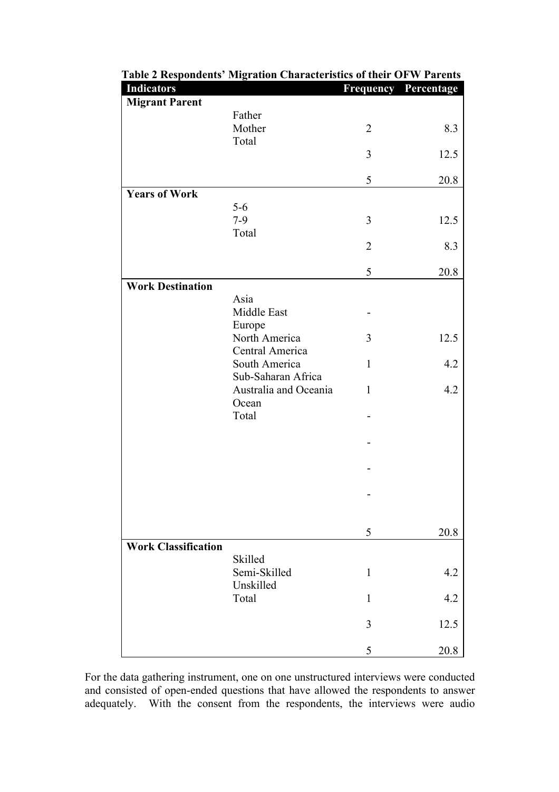| <b>Indicators</b>          |                         | <b>Frequency Percentage</b> |      |
|----------------------------|-------------------------|-----------------------------|------|
| <b>Migrant Parent</b>      |                         |                             |      |
|                            | Father                  |                             |      |
|                            | Mother                  | $\overline{2}$              | 8.3  |
|                            | Total                   | 3                           |      |
|                            |                         |                             | 12.5 |
|                            |                         | 5                           | 20.8 |
| <b>Years of Work</b>       |                         |                             |      |
|                            | $5-6$                   |                             |      |
|                            | $7-9$                   | 3                           | 12.5 |
|                            | Total                   |                             |      |
|                            |                         | $\overline{2}$              | 8.3  |
|                            |                         | 5                           | 20.8 |
| <b>Work Destination</b>    |                         |                             |      |
|                            | Asia                    |                             |      |
|                            | Middle East             |                             |      |
|                            | Europe<br>North America |                             |      |
|                            | Central America         | 3                           | 12.5 |
|                            | South America           | $\mathbf{1}$                | 4.2  |
|                            | Sub-Saharan Africa      |                             |      |
|                            | Australia and Oceania   | $\mathbf{1}$                | 4.2  |
|                            | Ocean                   |                             |      |
|                            | Total                   |                             |      |
|                            |                         |                             |      |
|                            |                         |                             |      |
|                            |                         |                             |      |
|                            |                         |                             |      |
|                            |                         |                             |      |
|                            |                         |                             |      |
|                            |                         | 5                           | 20.8 |
| <b>Work Classification</b> |                         |                             |      |
|                            | Skilled                 |                             |      |
|                            | Semi-Skilled            | $\mathbf{1}$                | 4.2  |
|                            | Unskilled               |                             |      |
|                            | Total                   | $\mathbf{1}$                | 4.2  |
|                            |                         | 3                           | 12.5 |
|                            |                         |                             |      |
|                            |                         | 5                           | 20.8 |

# **Table 2 Respondents' Migration Characteristics of their OFW Parents**

For the data gathering instrument, one on one unstructured interviews were conducted and consisted of open-ended questions that have allowed the respondents to answer adequately. With the consent from the respondents, the interviews were audio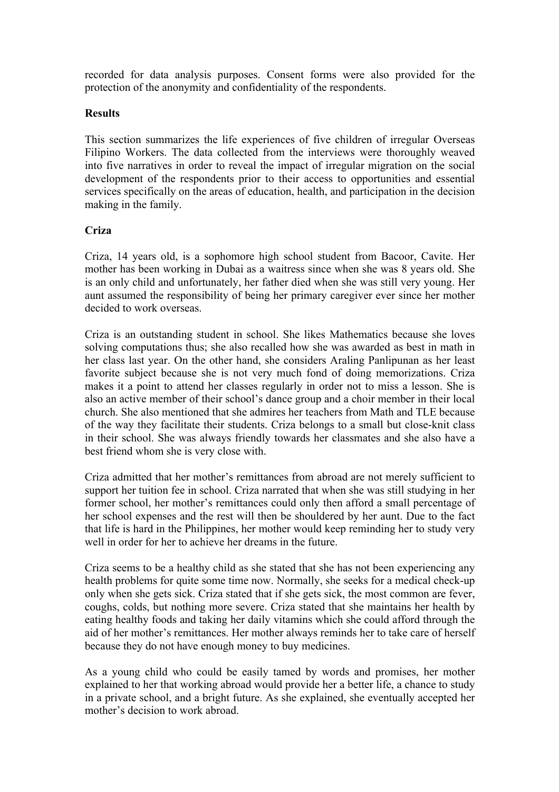recorded for data analysis purposes. Consent forms were also provided for the protection of the anonymity and confidentiality of the respondents.

# **Results**

This section summarizes the life experiences of five children of irregular Overseas Filipino Workers. The data collected from the interviews were thoroughly weaved into five narratives in order to reveal the impact of irregular migration on the social development of the respondents prior to their access to opportunities and essential services specifically on the areas of education, health, and participation in the decision making in the family.

# **Criza**

Criza, 14 years old, is a sophomore high school student from Bacoor, Cavite. Her mother has been working in Dubai as a waitress since when she was 8 years old. She is an only child and unfortunately, her father died when she was still very young. Her aunt assumed the responsibility of being her primary caregiver ever since her mother decided to work overseas.

Criza is an outstanding student in school. She likes Mathematics because she loves solving computations thus; she also recalled how she was awarded as best in math in her class last year. On the other hand, she considers Araling Panlipunan as her least favorite subject because she is not very much fond of doing memorizations. Criza makes it a point to attend her classes regularly in order not to miss a lesson. She is also an active member of their school's dance group and a choir member in their local church. She also mentioned that she admires her teachers from Math and TLE because of the way they facilitate their students. Criza belongs to a small but close-knit class in their school. She was always friendly towards her classmates and she also have a best friend whom she is very close with.

Criza admitted that her mother's remittances from abroad are not merely sufficient to support her tuition fee in school. Criza narrated that when she was still studying in her former school, her mother's remittances could only then afford a small percentage of her school expenses and the rest will then be shouldered by her aunt. Due to the fact that life is hard in the Philippines, her mother would keep reminding her to study very well in order for her to achieve her dreams in the future.

Criza seems to be a healthy child as she stated that she has not been experiencing any health problems for quite some time now. Normally, she seeks for a medical check-up only when she gets sick. Criza stated that if she gets sick, the most common are fever, coughs, colds, but nothing more severe. Criza stated that she maintains her health by eating healthy foods and taking her daily vitamins which she could afford through the aid of her mother's remittances. Her mother always reminds her to take care of herself because they do not have enough money to buy medicines.

As a young child who could be easily tamed by words and promises, her mother explained to her that working abroad would provide her a better life, a chance to study in a private school, and a bright future. As she explained, she eventually accepted her mother's decision to work abroad.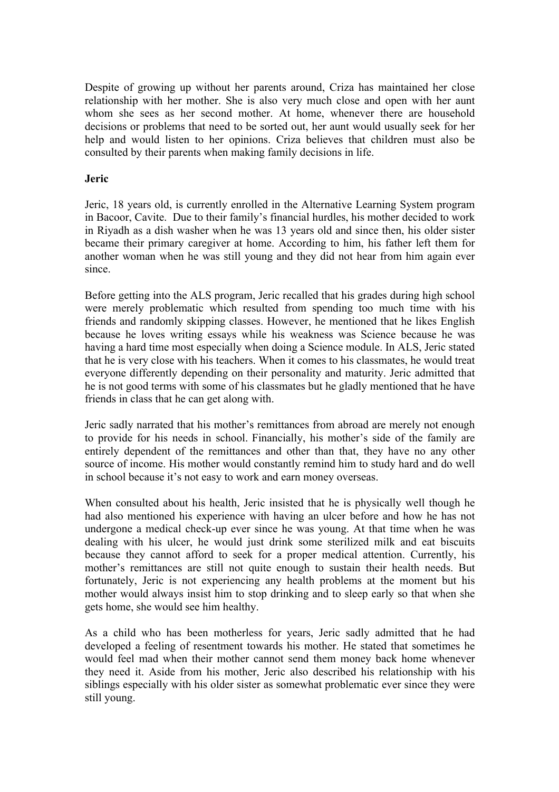Despite of growing up without her parents around, Criza has maintained her close relationship with her mother. She is also very much close and open with her aunt whom she sees as her second mother. At home, whenever there are household decisions or problems that need to be sorted out, her aunt would usually seek for her help and would listen to her opinions. Criza believes that children must also be consulted by their parents when making family decisions in life.

### **Jeric**

Jeric, 18 years old, is currently enrolled in the Alternative Learning System program in Bacoor, Cavite. Due to their family's financial hurdles, his mother decided to work in Riyadh as a dish washer when he was 13 years old and since then, his older sister became their primary caregiver at home. According to him, his father left them for another woman when he was still young and they did not hear from him again ever since.

Before getting into the ALS program, Jeric recalled that his grades during high school were merely problematic which resulted from spending too much time with his friends and randomly skipping classes. However, he mentioned that he likes English because he loves writing essays while his weakness was Science because he was having a hard time most especially when doing a Science module. In ALS, Jeric stated that he is very close with his teachers. When it comes to his classmates, he would treat everyone differently depending on their personality and maturity. Jeric admitted that he is not good terms with some of his classmates but he gladly mentioned that he have friends in class that he can get along with.

Jeric sadly narrated that his mother's remittances from abroad are merely not enough to provide for his needs in school. Financially, his mother's side of the family are entirely dependent of the remittances and other than that, they have no any other source of income. His mother would constantly remind him to study hard and do well in school because it's not easy to work and earn money overseas.

When consulted about his health, Jeric insisted that he is physically well though he had also mentioned his experience with having an ulcer before and how he has not undergone a medical check-up ever since he was young. At that time when he was dealing with his ulcer, he would just drink some sterilized milk and eat biscuits because they cannot afford to seek for a proper medical attention. Currently, his mother's remittances are still not quite enough to sustain their health needs. But fortunately, Jeric is not experiencing any health problems at the moment but his mother would always insist him to stop drinking and to sleep early so that when she gets home, she would see him healthy.

As a child who has been motherless for years, Jeric sadly admitted that he had developed a feeling of resentment towards his mother. He stated that sometimes he would feel mad when their mother cannot send them money back home whenever they need it. Aside from his mother, Jeric also described his relationship with his siblings especially with his older sister as somewhat problematic ever since they were still young.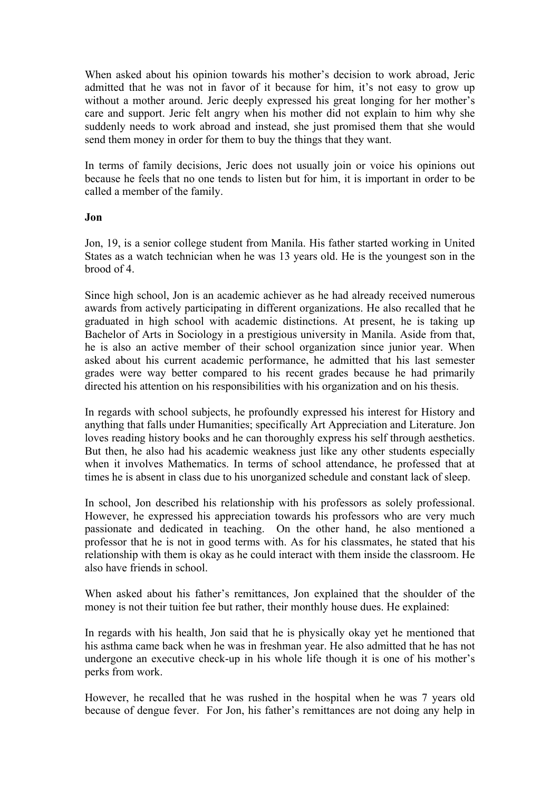When asked about his opinion towards his mother's decision to work abroad, Jeric admitted that he was not in favor of it because for him, it's not easy to grow up without a mother around. Jeric deeply expressed his great longing for her mother's care and support. Jeric felt angry when his mother did not explain to him why she suddenly needs to work abroad and instead, she just promised them that she would send them money in order for them to buy the things that they want.

In terms of family decisions, Jeric does not usually join or voice his opinions out because he feels that no one tends to listen but for him, it is important in order to be called a member of the family.

#### **Jon**

Jon, 19, is a senior college student from Manila. His father started working in United States as a watch technician when he was 13 years old. He is the youngest son in the brood of 4.

Since high school, Jon is an academic achiever as he had already received numerous awards from actively participating in different organizations. He also recalled that he graduated in high school with academic distinctions. At present, he is taking up Bachelor of Arts in Sociology in a prestigious university in Manila. Aside from that, he is also an active member of their school organization since junior year. When asked about his current academic performance, he admitted that his last semester grades were way better compared to his recent grades because he had primarily directed his attention on his responsibilities with his organization and on his thesis.

In regards with school subjects, he profoundly expressed his interest for History and anything that falls under Humanities; specifically Art Appreciation and Literature. Jon loves reading history books and he can thoroughly express his self through aesthetics. But then, he also had his academic weakness just like any other students especially when it involves Mathematics. In terms of school attendance, he professed that at times he is absent in class due to his unorganized schedule and constant lack of sleep.

In school, Jon described his relationship with his professors as solely professional. However, he expressed his appreciation towards his professors who are very much passionate and dedicated in teaching. On the other hand, he also mentioned a professor that he is not in good terms with. As for his classmates, he stated that his relationship with them is okay as he could interact with them inside the classroom. He also have friends in school.

When asked about his father's remittances, Jon explained that the shoulder of the money is not their tuition fee but rather, their monthly house dues. He explained:

In regards with his health, Jon said that he is physically okay yet he mentioned that his asthma came back when he was in freshman year. He also admitted that he has not undergone an executive check-up in his whole life though it is one of his mother's perks from work.

However, he recalled that he was rushed in the hospital when he was 7 years old because of dengue fever. For Jon, his father's remittances are not doing any help in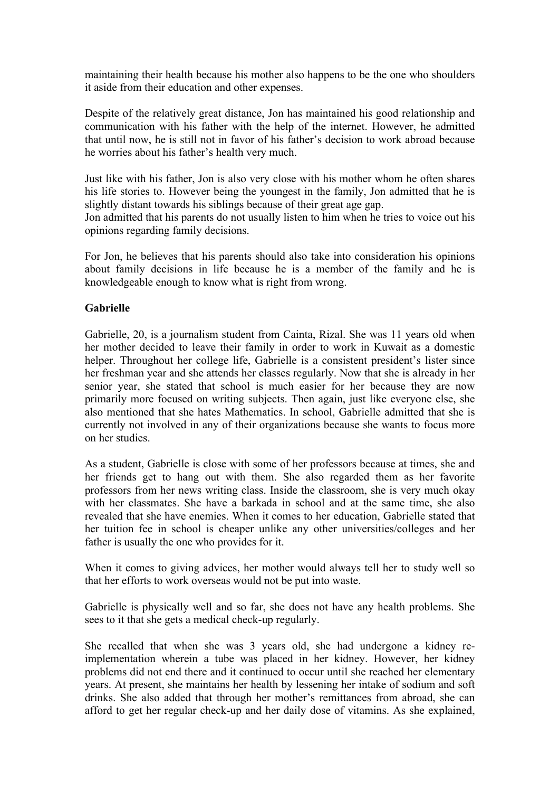maintaining their health because his mother also happens to be the one who shoulders it aside from their education and other expenses.

Despite of the relatively great distance, Jon has maintained his good relationship and communication with his father with the help of the internet. However, he admitted that until now, he is still not in favor of his father's decision to work abroad because he worries about his father's health very much.

Just like with his father, Jon is also very close with his mother whom he often shares his life stories to. However being the youngest in the family, Jon admitted that he is slightly distant towards his siblings because of their great age gap.

Jon admitted that his parents do not usually listen to him when he tries to voice out his opinions regarding family decisions.

For Jon, he believes that his parents should also take into consideration his opinions about family decisions in life because he is a member of the family and he is knowledgeable enough to know what is right from wrong.

# **Gabrielle**

Gabrielle, 20, is a journalism student from Cainta, Rizal. She was 11 years old when her mother decided to leave their family in order to work in Kuwait as a domestic helper. Throughout her college life, Gabrielle is a consistent president's lister since her freshman year and she attends her classes regularly. Now that she is already in her senior year, she stated that school is much easier for her because they are now primarily more focused on writing subjects. Then again, just like everyone else, she also mentioned that she hates Mathematics. In school, Gabrielle admitted that she is currently not involved in any of their organizations because she wants to focus more on her studies.

As a student, Gabrielle is close with some of her professors because at times, she and her friends get to hang out with them. She also regarded them as her favorite professors from her news writing class. Inside the classroom, she is very much okay with her classmates. She have a barkada in school and at the same time, she also revealed that she have enemies. When it comes to her education, Gabrielle stated that her tuition fee in school is cheaper unlike any other universities/colleges and her father is usually the one who provides for it.

When it comes to giving advices, her mother would always tell her to study well so that her efforts to work overseas would not be put into waste.

Gabrielle is physically well and so far, she does not have any health problems. She sees to it that she gets a medical check-up regularly.

She recalled that when she was 3 years old, she had undergone a kidney reimplementation wherein a tube was placed in her kidney. However, her kidney problems did not end there and it continued to occur until she reached her elementary years. At present, she maintains her health by lessening her intake of sodium and soft drinks. She also added that through her mother's remittances from abroad, she can afford to get her regular check-up and her daily dose of vitamins. As she explained,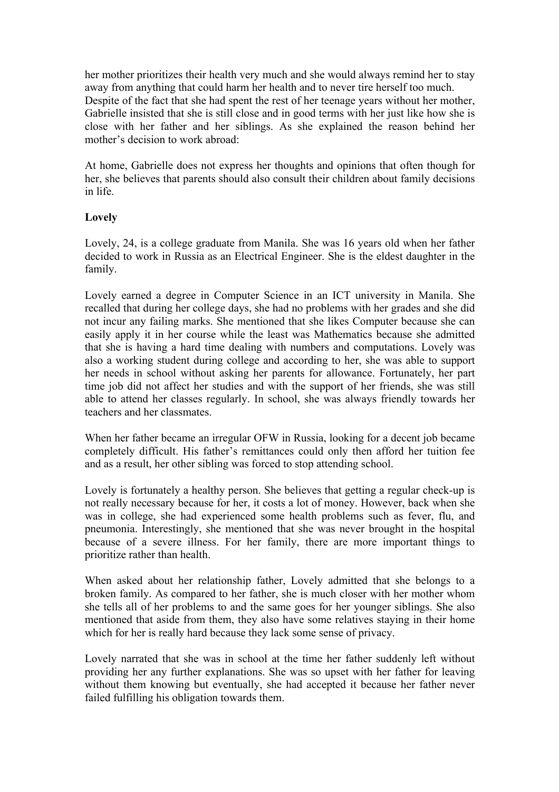her mother prioritizes their health very much and she would always remind her to stay away from anything that could harm her health and to never tire herself too much. Despite of the fact that she had spent the rest of her teenage years without her mother, Gabrielle insisted that she is still close and in good terms with her just like how she is close with her father and her siblings. As she explained the reason behind her mother's decision to work abroad:

At home, Gabrielle does not express her thoughts and opinions that often though for her, she believes that parents should also consult their children about family decisions in life.

# **Lovely**

Lovely, 24, is a college graduate from Manila. She was 16 years old when her father decided to work in Russia as an Electrical Engineer. She is the eldest daughter in the family.

Lovely earned a degree in Computer Science in an ICT university in Manila. She recalled that during her college days, she had no problems with her grades and she did not incur any failing marks. She mentioned that she likes Computer because she can easily apply it in her course while the least was Mathematics because she admitted that she is having a hard time dealing with numbers and computations. Lovely was also a working student during college and according to her, she was able to support her needs in school without asking her parents for allowance. Fortunately, her part time job did not affect her studies and with the support of her friends, she was still able to attend her classes regularly. In school, she was always friendly towards her teachers and her classmates.

When her father became an irregular OFW in Russia, looking for a decent job became completely difficult. His father's remittances could only then afford her tuition fee and as a result, her other sibling was forced to stop attending school.

Lovely is fortunately a healthy person. She believes that getting a regular check-up is not really necessary because for her, it costs a lot of money. However, back when she was in college, she had experienced some health problems such as fever, flu, and pneumonia. Interestingly, she mentioned that she was never brought in the hospital because of a severe illness. For her family, there are more important things to prioritize rather than health.

When asked about her relationship father, Lovely admitted that she belongs to a broken family. As compared to her father, she is much closer with her mother whom she tells all of her problems to and the same goes for her younger siblings. She also mentioned that aside from them, they also have some relatives staying in their home which for her is really hard because they lack some sense of privacy.

Lovely narrated that she was in school at the time her father suddenly left without providing her any further explanations. She was so upset with her father for leaving without them knowing but eventually, she had accepted it because her father never failed fulfilling his obligation towards them.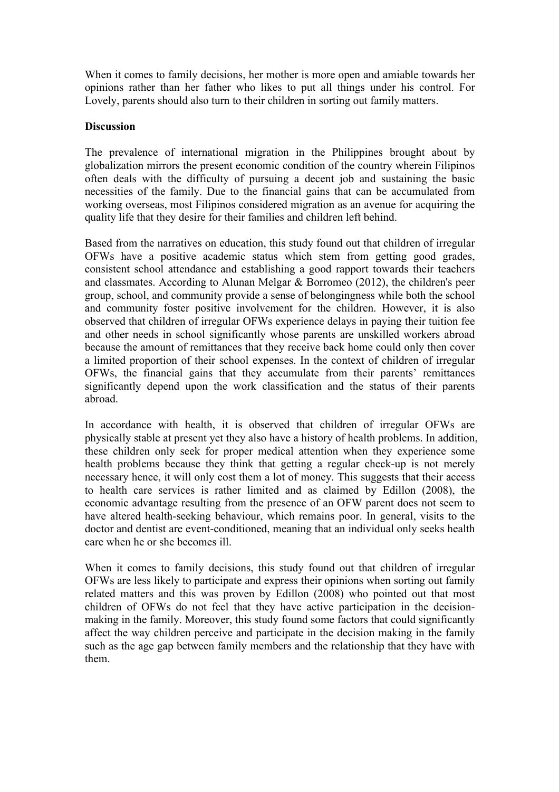When it comes to family decisions, her mother is more open and amiable towards her opinions rather than her father who likes to put all things under his control. For Lovely, parents should also turn to their children in sorting out family matters.

# **Discussion**

The prevalence of international migration in the Philippines brought about by globalization mirrors the present economic condition of the country wherein Filipinos often deals with the difficulty of pursuing a decent job and sustaining the basic necessities of the family. Due to the financial gains that can be accumulated from working overseas, most Filipinos considered migration as an avenue for acquiring the quality life that they desire for their families and children left behind.

Based from the narratives on education, this study found out that children of irregular OFWs have a positive academic status which stem from getting good grades, consistent school attendance and establishing a good rapport towards their teachers and classmates. According to Alunan Melgar & Borromeo (2012), the children's peer group, school, and community provide a sense of belongingness while both the school and community foster positive involvement for the children. However, it is also observed that children of irregular OFWs experience delays in paying their tuition fee and other needs in school significantly whose parents are unskilled workers abroad because the amount of remittances that they receive back home could only then cover a limited proportion of their school expenses. In the context of children of irregular OFWs, the financial gains that they accumulate from their parents' remittances significantly depend upon the work classification and the status of their parents abroad.

In accordance with health, it is observed that children of irregular OFWs are physically stable at present yet they also have a history of health problems. In addition, these children only seek for proper medical attention when they experience some health problems because they think that getting a regular check-up is not merely necessary hence, it will only cost them a lot of money. This suggests that their access to health care services is rather limited and as claimed by Edillon (2008), the economic advantage resulting from the presence of an OFW parent does not seem to have altered health-seeking behaviour, which remains poor. In general, visits to the doctor and dentist are event-conditioned, meaning that an individual only seeks health care when he or she becomes ill.

When it comes to family decisions, this study found out that children of irregular OFWs are less likely to participate and express their opinions when sorting out family related matters and this was proven by Edillon (2008) who pointed out that most children of OFWs do not feel that they have active participation in the decisionmaking in the family. Moreover, this study found some factors that could significantly affect the way children perceive and participate in the decision making in the family such as the age gap between family members and the relationship that they have with them.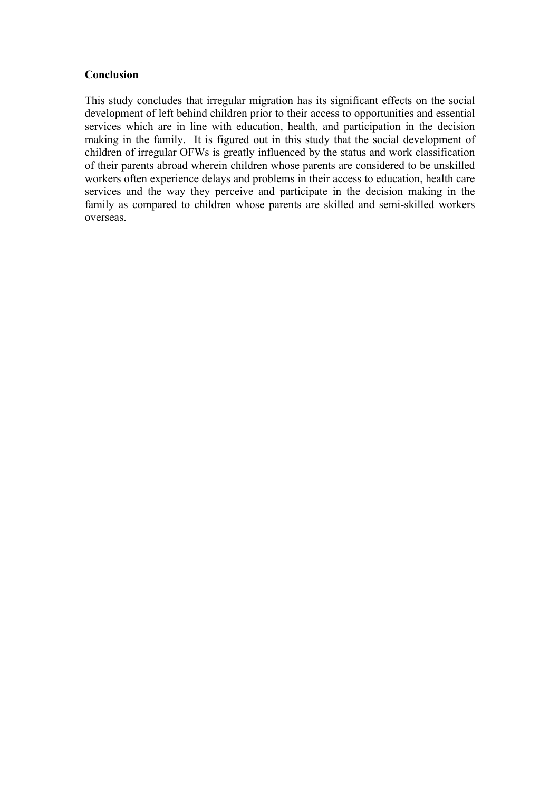# **Conclusion**

This study concludes that irregular migration has its significant effects on the social development of left behind children prior to their access to opportunities and essential services which are in line with education, health, and participation in the decision making in the family. It is figured out in this study that the social development of children of irregular OFWs is greatly influenced by the status and work classification of their parents abroad wherein children whose parents are considered to be unskilled workers often experience delays and problems in their access to education, health care services and the way they perceive and participate in the decision making in the family as compared to children whose parents are skilled and semi-skilled workers overseas.